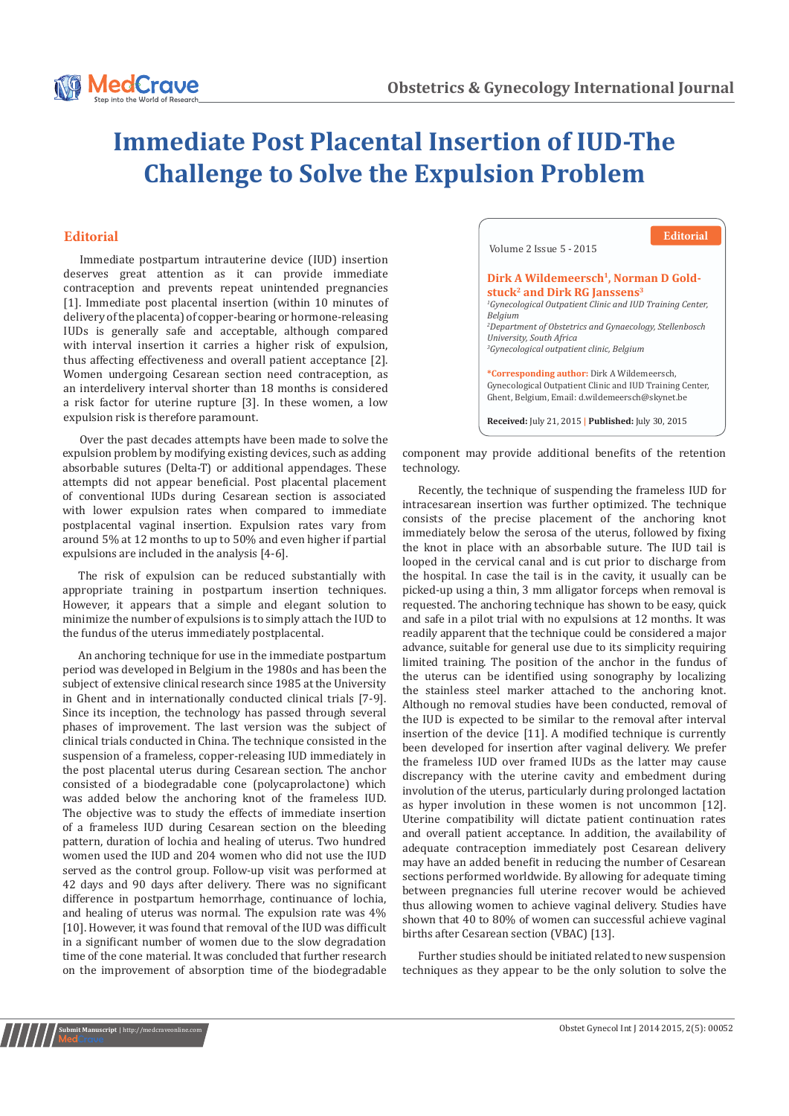

## **Immediate Post Placental Insertion of IUD-The Challenge to Solve the Expulsion Problem**

## **Editorial**

Immediate postpartum intrauterine device (IUD) insertion deserves great attention as it can provide immediate contraception and prevents repeat unintended pregnancies [1]. Immediate post placental insertion (within 10 minutes of delivery of the placenta) of copper-bearing or hormone-releasing IUDs is generally safe and acceptable, although compared with interval insertion it carries a higher risk of expulsion, thus affecting effectiveness and overall patient acceptance [2]. Women undergoing Cesarean section need contraception, as an interdelivery interval shorter than 18 months is considered a risk factor for uterine rupture [3]. In these women, a low expulsion risk is therefore paramount.

expulsion problem by modifying existing devices, such as adding absorbable sutures (Delta-T) or additional appendages. These attempts did not appear beneficial. Post placental placement of conventional IUDs during Cesarean section is associated with lower expulsion rates when compared to immediate postplacental vaginal insertion. Expulsion rates vary from around 5% at 12 months to up to 50% and even higher if partial expulsions are included in the analysis [4-6]. Over the past decades attempts have been made to solve the

The risk of expulsion can be reduced substantially with appropriate training in postpartum insertion techniques. However, it appears that a simple and elegant solution to minimize the number of expulsions is to simply attach the IUD to the fundus of the uterus immediately postplacental.

An anchoring technique for use in the immediate postpartum period was developed in Belgium in the 1980s and has been the subject of extensive clinical research since 1985 at the University in Ghent and in internationally conducted clinical trials [7-9]. Since its inception, the technology has passed through several phases of improvement. The last version was the subject of clinical trials conducted in China. The technique consisted in the suspension of a frameless, copper-releasing IUD immediately in the post placental uterus during Cesarean section. The anchor consisted of a biodegradable cone (polycaprolactone) which was added below the anchoring knot of the frameless IUD. The objective was to study the effects of immediate insertion of a frameless IUD during Cesarean section on the bleeding pattern, duration of lochia and healing of uterus. Two hundred women used the IUD and 204 women who did not use the IUD served as the control group. Follow-up visit was performed at 42 days and 90 days after delivery. There was no significant difference in postpartum hemorrhage, continuance of lochia, and healing of uterus was normal. The expulsion rate was 4% [10]. However, it was found that removal of the IUD was difficult in a significant number of women due to the slow degradation time of the cone material. It was concluded that further research on the improvement of absorption time of the biodegradable

 Volume 2 Issue 5 - 2015 Dirk A Wildemeersch<sup>1</sup>, Norman D Gold**stuck2 and Dirk RG Janssens3** *1 Gynecological Outpatient Clinic and IUD Training Center, Belgium 2 Department of Obstetrics and Gynaecology, Stellenbosch University, South Africa 3 Gynecological outpatient clinic, Belgium* **\*Corresponding author:** Dirk A Wildemeersch, Gynecological Outpatient Clinic and IUD Training Center, Ghent, Belgium, Email: d.wildemeersch@skynet.be **Received:** July 21, 2015 **| Published:** July 30, 2015 **Editorial**

component may provide additional benefits of the retention technology.

Recently, the technique of suspending the frameless IUD for intracesarean insertion was further optimized. The technique consists of the precise placement of the anchoring knot immediately below the serosa of the uterus, followed by fixing the knot in place with an absorbable suture. The IUD tail is looped in the cervical canal and is cut prior to discharge from the hospital. In case the tail is in the cavity, it usually can be picked-up using a thin, 3 mm alligator forceps when removal is requested. The anchoring technique has shown to be easy, quick and safe in a pilot trial with no expulsions at 12 months. It was readily apparent that the technique could be considered a major advance, suitable for general use due to its simplicity requiring limited training. The position of the anchor in the fundus of the uterus can be identified using sonography by localizing the stainless steel marker attached to the anchoring knot. Although no removal studies have been conducted, removal of the IUD is expected to be similar to the removal after interval insertion of the device [11]. A modified technique is currently been developed for insertion after vaginal delivery. We prefer the frameless IUD over framed IUDs as the latter may cause discrepancy with the uterine cavity and embedment during involution of the uterus, particularly during prolonged lactation as hyper involution in these women is not uncommon [12]. Uterine compatibility will dictate patient continuation rates and overall patient acceptance. In addition, the availability of adequate contraception immediately post Cesarean delivery may have an added benefit in reducing the number of Cesarean sections performed worldwide. By allowing for adequate timing between pregnancies full uterine recover would be achieved thus allowing women to achieve vaginal delivery. Studies have shown that 40 to 80% of women can successful achieve vaginal births after Cesarean section (VBAC) [13].

Further studies should be initiated related to new suspension techniques as they appear to be the only solution to solve the